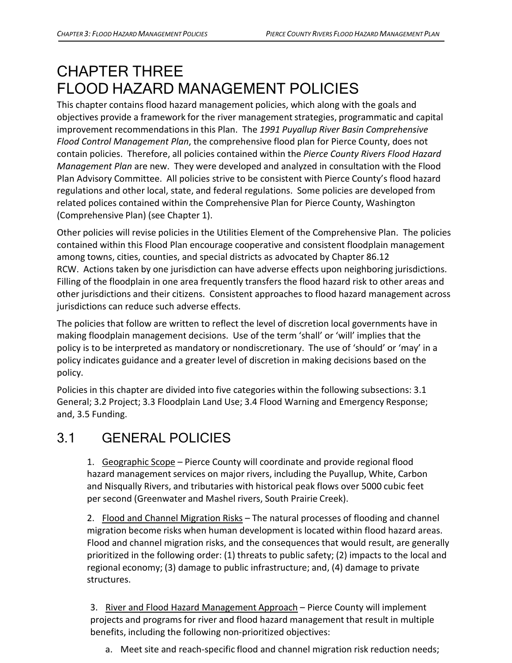## CHAPTER THREE FLOOD HAZARD MANAGEMENT POLICIES

This chapter contains flood hazard management policies, which along with the goals and objectives provide a framework for the river management strategies, programmatic and capital improvement recommendationsin this Plan. The *1991 Puyallup River Basin Comprehensive Flood Control Management Plan*, the comprehensive flood plan for Pierce County, does not contain policies. Therefore, all policies contained within the *Pierce County Rivers Flood Hazard Management Plan* are new. They were developed and analyzed in consultation with the Flood Plan Advisory Committee. All policies strive to be consistent with Pierce County's flood hazard regulations and other local, state, and federal regulations. Some policies are developed from related polices contained within the Comprehensive Plan for Pierce County, Washington (Comprehensive Plan) (see Chapter 1).

Other policies will revise policies in the Utilities Element of the Comprehensive Plan. The policies contained within this Flood Plan encourage cooperative and consistent floodplain management among towns, cities, counties, and special districts as advocated by Chapter 86.12 RCW. Actions taken by one jurisdiction can have adverse effects upon neighboring jurisdictions. Filling of the floodplain in one area frequently transfers the flood hazard risk to other areas and other jurisdictions and their citizens. Consistent approaches to flood hazard management across jurisdictions can reduce such adverse effects.

The policies that follow are written to reflect the level of discretion local governments have in making floodplain management decisions. Use of the term 'shall' or 'will' implies that the policy is to be interpreted as mandatory or nondiscretionary. The use of 'should' or 'may' in a policy indicates guidance and a greater level of discretion in making decisions based on the policy.

Policies in this chapter are divided into five categories within the following subsections: 3.1 General; 3.2 Project; 3.3 Floodplain Land Use; 3.4 Flood Warning and Emergency Response; and, 3.5 Funding.

## 3.1 GENERAL POLICIES

1. Geographic Scope – Pierce County will coordinate and provide regional flood hazard management services on major rivers, including the Puyallup, White, Carbon and Nisqually Rivers, and tributaries with historical peak flows over 5000 cubic feet per second (Greenwater and Mashel rivers, South Prairie Creek).

2. Flood and Channel Migration Risks – The natural processes of flooding and channel migration become risks when human development is located within flood hazard areas. Flood and channel migration risks, and the consequences that would result, are generally prioritized in the following order: (1) threats to public safety; (2) impacts to the local and regional economy; (3) damage to public infrastructure; and, (4) damage to private structures.

3. River and Flood Hazard Management Approach - Pierce County will implement projects and programs for river and flood hazard management that result in multiple benefits, including the following non-prioritized objectives:

a. Meet site and reach-specific flood and channel migration risk reduction needs;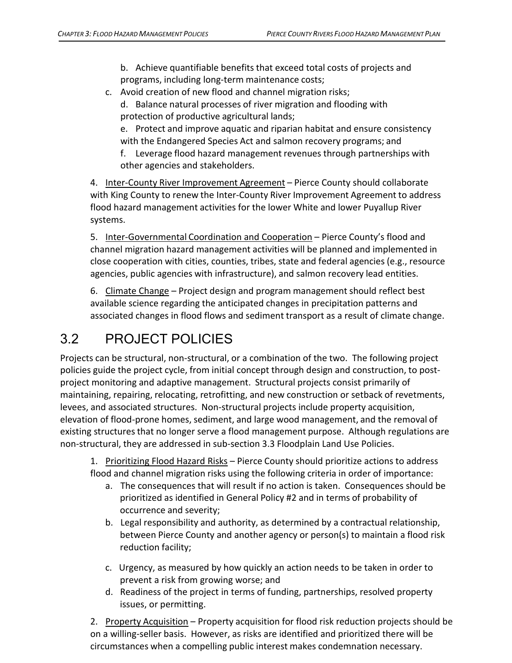b. Achieve quantifiable benefits that exceed total costs of projects and programs, including long-term maintenance costs;

c. Avoid creation of new flood and channel migration risks;

d. Balance natural processes of river migration and flooding with protection of productive agricultural lands;

e. Protect and improve aquatic and riparian habitat and ensure consistency with the Endangered Species Act and salmon recovery programs; and f. Leverage flood hazard management revenues through partnerships with

other agencies and stakeholders.

4. Inter-County River Improvement Agreement – Pierce County should collaborate with King County to renew the Inter-County River Improvement Agreement to address flood hazard management activities for the lower White and lower Puyallup River systems.

5. Inter-Governmental Coordination and Cooperation – Pierce County's flood and channel migration hazard management activities will be planned and implemented in close cooperation with cities, counties, tribes, state and federal agencies (e.g., resource agencies, public agencies with infrastructure), and salmon recovery lead entities.

6. Climate Change – Project design and program management should reflect best available science regarding the anticipated changes in precipitation patterns and associated changes in flood flows and sediment transport as a result of climate change.

## 3.2 PROJECT POLICIES

Projects can be structural, non-structural, or a combination of the two. The following project policies guide the project cycle, from initial concept through design and construction, to postproject monitoring and adaptive management. Structural projects consist primarily of maintaining, repairing, relocating, retrofitting, and new construction or setback of revetments, levees, and associated structures. Non-structural projects include property acquisition, elevation of flood-prone homes, sediment, and large wood management, and the removal of existing structures that no longer serve a flood management purpose. Although regulations are non-structural, they are addressed in sub-section 3.3 Floodplain Land Use Policies.

1. Prioritizing Flood Hazard Risks – Pierce County should prioritize actions to address flood and channel migration risks using the following criteria in order of importance:

- a. The consequences that will result if no action is taken. Consequences should be prioritized as identified in General Policy #2 and in terms of probability of occurrence and severity;
- b. Legal responsibility and authority, as determined by a contractual relationship, between Pierce County and another agency or person(s) to maintain a flood risk reduction facility;
- c. Urgency, as measured by how quickly an action needs to be taken in order to prevent a risk from growing worse; and
- d. Readiness of the project in terms of funding, partnerships, resolved property issues, or permitting.

2. Property Acquisition – Property acquisition for flood risk reduction projects should be on a willing-seller basis. However, as risks are identified and prioritized there will be circumstances when a compelling public interest makes condemnation necessary.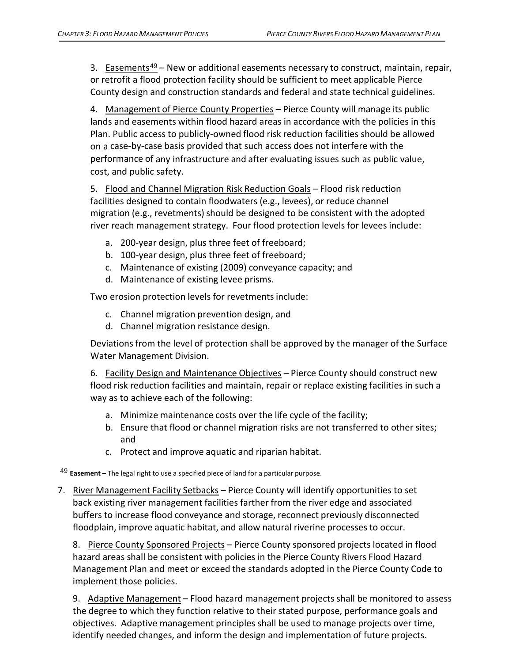3. Easements<sup>49</sup> – New or additional easements necessary to construct, maintain, repair, or retrofit a flood protection facility should be sufficient to meet applicable Pierce County design and construction standards and federal and state technical guidelines.

4. Management of Pierce County Properties – Pierce County will manage its public lands and easements within flood hazard areas in accordance with the policies in this Plan. Public access to publicly-owned flood risk reduction facilities should be allowed on a case-by-case basis provided that such access does not interfere with the performance of any infrastructure and after evaluating issues such as public value, cost, and public safety.

5. Flood and Channel Migration Risk Reduction Goals - Flood risk reduction facilities designed to contain floodwaters (e.g., levees), or reduce channel migration (e.g., revetments) should be designed to be consistent with the adopted river reach management strategy. Four flood protection levels for levees include:

- a. 200-year design, plus three feet of freeboard;
- b. 100-year design, plus three feet of freeboard;
- c. Maintenance of existing (2009) conveyance capacity; and
- d. Maintenance of existing levee prisms.

Two erosion protection levels for revetments include:

- c. Channel migration prevention design, and
- d. Channel migration resistance design.

Deviations from the level of protection shall be approved by the manager of the Surface Water Management Division.

6. Facility Design and Maintenance Objectives – Pierce County should construct new flood risk reduction facilities and maintain, repair or replace existing facilities in such a way as to achieve each of the following:

- a. Minimize maintenance costs over the life cycle of the facility;
- b. Ensure that flood or channel migration risks are not transferred to other sites; and
- c. Protect and improve aquatic and riparian habitat.

<sup>49</sup> **Easement –** The legal right to use a specified piece of land for a particular purpose.

7. River Management Facility Setbacks - Pierce County will identify opportunities to set back existing river management facilities farther from the river edge and associated buffers to increase flood conveyance and storage, reconnect previously disconnected floodplain, improve aquatic habitat, and allow natural riverine processes to occur.

8. Pierce County Sponsored Projects – Pierce County sponsored projects located in flood hazard areas shall be consistent with policies in the Pierce County Rivers Flood Hazard Management Plan and meet or exceed the standards adopted in the Pierce County Code to implement those policies.

9. Adaptive Management – Flood hazard management projects shall be monitored to assess the degree to which they function relative to their stated purpose, performance goals and objectives. Adaptive management principles shall be used to manage projects over time, identify needed changes, and inform the design and implementation of future projects.